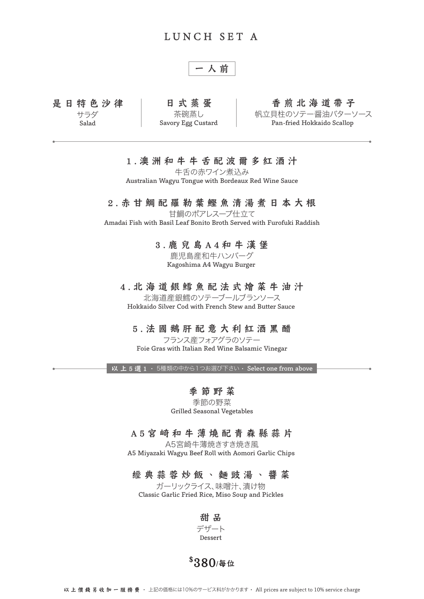## LUNCH SET A

$$
-\lambda\text{ m}
$$

是日特色沙律 サラダ Salad

日式蒸蛋 茶碗蒸し Savory Egg Custard

#### 香煎北海道帶子

帆立貝柱のソテー醤油バターソース Pan-fried Hokkaido Scallop

### 1.澳洲和牛牛舌配波爾多紅酒汁

牛舌の赤ワイン煮込み Australian Wagyu Tongue with Bordeaux Red Wine Sauce

### 2.赤甘鯛配羅勒葉鰹魚清湯煮日本大根

甘鯛のポアレスープ仕立て Amadai Fish with Basil Leaf Bonito Broth Served with Furofuki Raddish

> 3.鹿兒島A4和牛漢堡 鹿児島産和牛ハンバーグ

Kagoshima A4 Wagyu Burger

#### 4.北海道銀鱈魚配法式燴菜牛油汁

北海道産銀鱈のソテーブールブランソース Hokkaido Silver Cod with French Stew and Butter Sauce

### 5.法國鵝肝配意大利紅酒黑醋

フランス産フォアグラのソテー Foie Gras with Italian Red Wine Balsamic Vinegar

以上5選1 · 5種類の中から1つお選び下さい· Select one from above

### 季節野菜

季節の野菜 Grilled Seasonal Vegetables

#### A5宮崎和牛薄燒配青森縣蒜片

A5宮崎牛薄焼きすき焼き風 A5 Miyazaki Wagyu Beef Roll with Aomori Garlic Chips

### 經典蒜蓉炒飯、麵豉湯、醬菜

ガーリックライス、味噌汁、漬け物 Classic Garlic Fried Rice, Miso Soup and Pickles

> 甜 品 デザート Dessert

\$ 380/每位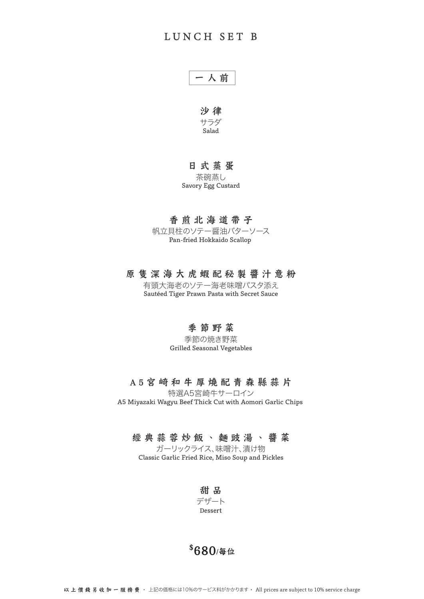

沙 律 サラダ Salad

### 日式蒸蛋

茶碗蒸し Savory Egg Custard

## 香煎北海道帶子

帆立貝柱のソテー醤油バターソース Pan-fried Hokkaido Scallop

#### 原隻深海大虎蝦配秘製醬汁意粉

有頭大海老のソテー海老味噌パスタ添え Sautéed Tiger Prawn Pasta with Secret Sauce

## 季節野菜

季節の焼き野菜 Grilled Seasonal Vegetables

### A5宮崎和牛厚燒配青森縣蒜片

特選A5宮崎牛サーロイン A5 Miyazaki Wagyu Beef Thick Cut with Aomori Garlic Chips

## 經典蒜蓉炒飯、麵豉湯、醬菜

ガーリックライス、味噌汁、漬け物 Classic Garlic Fried Rice, Miso Soup and Pickles

甜 品 デザート Dessert